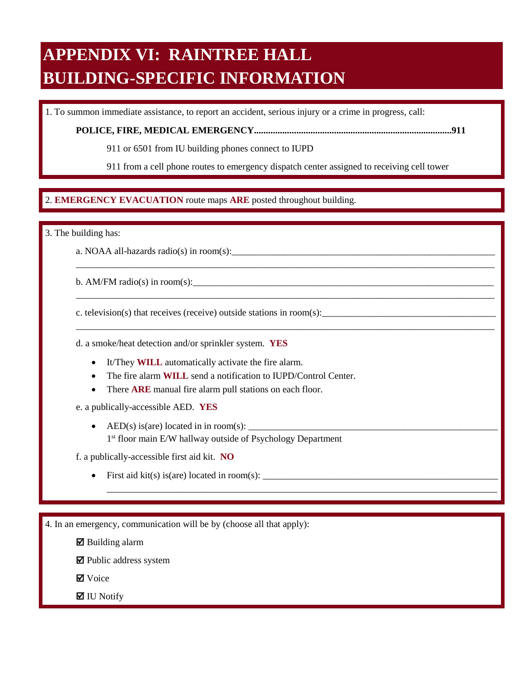# **APPENDIX VI: RAINTREE HALL BUILDING-SPECIFIC INFORMATION**

1. To summon immediate assistance, to report an accident, serious injury or a crime in progress, call:

**POLICE, FIRE, MEDICAL EMERGENCY....................................................................................911** 

911 or 6501 from IU building phones connect to IUPD

911 from a cell phone routes to emergency dispatch center assigned to receiving cell tower

\_\_\_\_\_\_\_\_\_\_\_\_\_\_\_\_\_\_\_\_\_\_\_\_\_\_\_\_\_\_\_\_\_\_\_\_\_\_\_\_\_\_\_\_\_\_\_\_\_\_\_\_\_\_\_\_\_\_\_\_\_\_\_\_\_\_\_\_\_\_\_\_\_\_\_\_\_\_\_\_\_\_\_\_\_\_\_\_\_

\_\_\_\_\_\_\_\_\_\_\_\_\_\_\_\_\_\_\_\_\_\_\_\_\_\_\_\_\_\_\_\_\_\_\_\_\_\_\_\_\_\_\_\_\_\_\_\_\_\_\_\_\_\_\_\_\_\_\_\_\_\_\_\_\_\_\_\_\_\_\_\_\_\_\_\_\_\_\_\_\_\_\_\_\_\_\_\_\_

\_\_\_\_\_\_\_\_\_\_\_\_\_\_\_\_\_\_\_\_\_\_\_\_\_\_\_\_\_\_\_\_\_\_\_\_\_\_\_\_\_\_\_\_\_\_\_\_\_\_\_\_\_\_\_\_\_\_\_\_\_\_\_\_\_\_\_\_\_\_\_\_\_\_\_\_\_\_\_\_\_\_\_\_\_\_\_\_\_

\_\_\_\_\_\_\_\_\_\_\_\_\_\_\_\_\_\_\_\_\_\_\_\_\_\_\_\_\_\_\_\_\_\_\_\_\_\_\_\_\_\_\_\_\_\_\_\_\_\_\_\_\_\_\_\_\_\_\_\_\_\_\_\_\_\_\_\_\_\_\_\_\_\_\_\_\_\_\_\_\_\_\_

## $\overline{a}$ 2. EMERGENCY EVACUATION route maps ARE posted throughout building. 2. **EMERGENCY EVACUATION** route maps **ARE** posted throughout building.

3. The building has:

a. NOAA all-hazards radio(s) in room(s):

b. AM/FM radio(s) in room(s):

c. television(s) that receives (receive) outside stations in room(s):

d. a smoke/heat detection and/or sprinkler system. **YES** 

- It/They **WILL** automatically activate the fire alarm.
- The fire alarm **WILL** send a notification to IUPD/Control Center.
- There **ARE** manual fire alarm pull stations on each floor.

e. a publically-accessible AED. **YES** 

• AED(s) is(are) located in in room(s):  $\frac{1}{\sqrt{1-\frac{1}{2}}}\left\{ \frac{1}{2}, \frac{1}{2}, \frac{1}{2}, \frac{1}{2}, \frac{1}{2}, \frac{1}{2}, \frac{1}{2}, \frac{1}{2}, \frac{1}{2}, \frac{1}{2}, \frac{1}{2}, \frac{1}{2}, \frac{1}{2}, \frac{1}{2}, \frac{1}{2}, \frac{1}{2}, \frac{1}{2}, \frac{1}{2}, \frac{1}{2}, \frac{1}{2}, \frac{1}{2}, \frac{1}{2}, \frac{1}{2$ 1st floor main E/W hallway outside of Psychology Department

f. a publically-accessible first aid kit. **NO** 

• First aid kit(s) is(are) located in room(s):  $\_\_$ 

4. In an emergency, communication will be by (choose all that apply):

 $\boxtimes$  Building alarm

 $\blacksquare$  Public address system

**Ø** Voice

 $\blacksquare$  IU Notify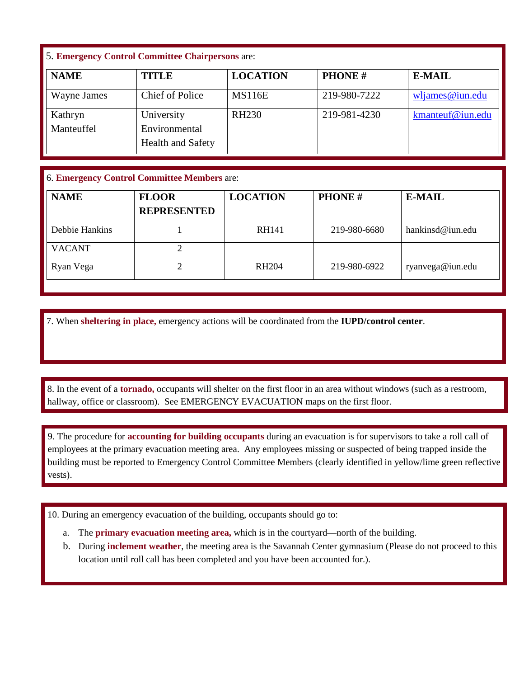## 5. **Emergency Control Committee Chairpersons** are:

| <b>NAME</b>           | <b>TITLE</b>                                     | <b>LOCATION</b>   | <b>PHONE#</b> | <b>E-MAIL</b>    |
|-----------------------|--------------------------------------------------|-------------------|---------------|------------------|
| Wayne James           | <b>Chief of Police</b>                           | <b>MS116E</b>     | 219-980-7222  | wljames@iun.edu  |
| Kathryn<br>Manteuffel | University<br>Environmental<br>Health and Safety | RH <sub>230</sub> | 219-981-4230  | kmanteuf@iun.edu |

## 6. **Emergency Control Committee Members** are:

| <b>NAME</b>    | <b>FLOOR</b><br><b>REPRESENTED</b> | <b>LOCATION</b> | <b>PHONE#</b> | <b>E-MAIL</b>    |
|----------------|------------------------------------|-----------------|---------------|------------------|
| Debbie Hankins |                                    | RH141           | 219-980-6680  | hankinsd@iun.edu |
| <b>VACANT</b>  |                                    |                 |               |                  |
| Ryan Vega      |                                    | <b>RH204</b>    | 219-980-6922  | ryanvega@iun.edu |

7. When **sheltering in place,** emergency actions will be coordinated from the **IUPD/control center**.

 hallway, office or classroom). See EMERGENCY EVACUATION maps on the first floor. 8. In the event of a **tornado**, occupants will shelter on the first floor in an area without windows (such as a restroom, hallway, office or classroom). See EMERGENCY EVACUATION maps on the first floor. 8. In the event of a **tornado,** occupants will shelter on the first floor in an area without windows (such as a restroom,

 9. The procedure for **accounting for building occupants** during an evacuation is for supervisors to take a roll call of employees at the primary evacuation meeting area. Any employees missing or suspected of being trapped inside the building must be reported to Emergency Control Committee Members (clearly identified in yellow/lime green reflective vests).

10. During an emergency evacuation of the building, occupants should go to:

- a. The **primary evacuation meeting area,** which is in the courtyard—north of the building.
- b. During **inclement weather**, the meeting area is the Savannah Center gymnasium (Please do not proceed to this location until roll call has been completed and you have been accounted for.).